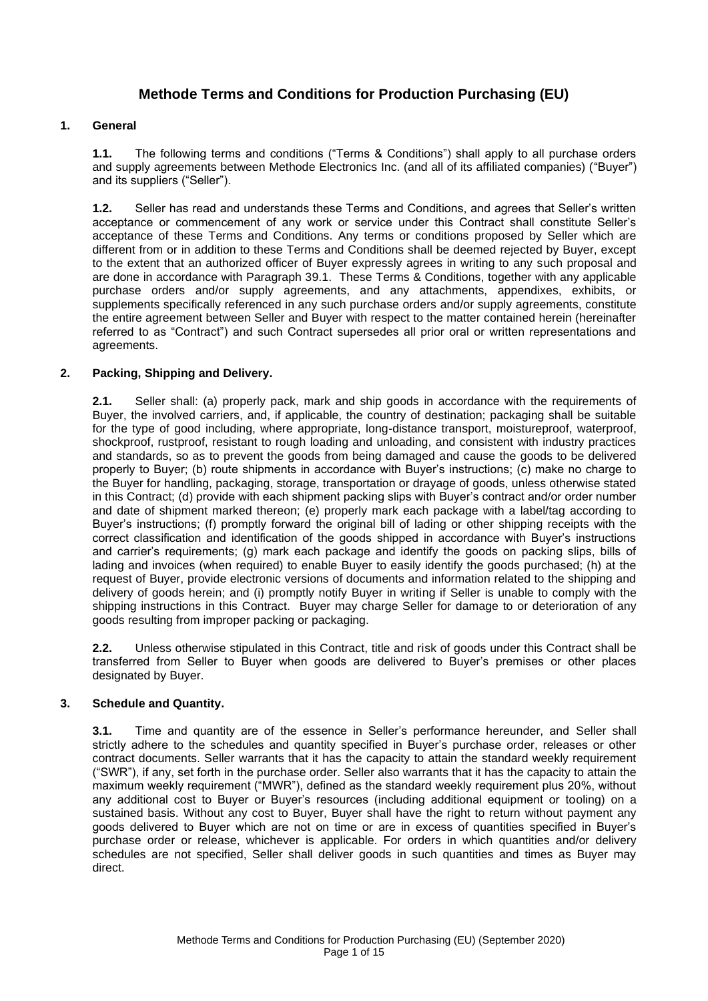# **Methode Terms and Conditions for Production Purchasing (EU)**

# **1. General**

**1.1.** The following terms and conditions ("Terms & Conditions") shall apply to all purchase orders and supply agreements between Methode Electronics Inc. (and all of its affiliated companies) ("Buyer") and its suppliers ("Seller").

**1.2.** Seller has read and understands these Terms and Conditions, and agrees that Seller's written acceptance or commencement of any work or service under this Contract shall constitute Seller's acceptance of these Terms and Conditions. Any terms or conditions proposed by Seller which are different from or in addition to these Terms and Conditions shall be deemed rejected by Buyer, except to the extent that an authorized officer of Buyer expressly agrees in writing to any such proposal and are done in accordance with Paragraph 39.1. These Terms & Conditions, together with any applicable purchase orders and/or supply agreements, and any attachments, appendixes, exhibits, or supplements specifically referenced in any such purchase orders and/or supply agreements, constitute the entire agreement between Seller and Buyer with respect to the matter contained herein (hereinafter referred to as "Contract") and such Contract supersedes all prior oral or written representations and agreements.

## **2. Packing, Shipping and Delivery.**

**2.1.** Seller shall: (a) properly pack, mark and ship goods in accordance with the requirements of Buyer, the involved carriers, and, if applicable, the country of destination; packaging shall be suitable for the type of good including, where appropriate, long-distance transport, moistureproof, waterproof, shockproof, rustproof, resistant to rough loading and unloading, and consistent with industry practices and standards, so as to prevent the goods from being damaged and cause the goods to be delivered properly to Buyer; (b) route shipments in accordance with Buyer's instructions; (c) make no charge to the Buyer for handling, packaging, storage, transportation or drayage of goods, unless otherwise stated in this Contract; (d) provide with each shipment packing slips with Buyer's contract and/or order number and date of shipment marked thereon; (e) properly mark each package with a label/tag according to Buyer's instructions; (f) promptly forward the original bill of lading or other shipping receipts with the correct classification and identification of the goods shipped in accordance with Buyer's instructions and carrier's requirements; (g) mark each package and identify the goods on packing slips, bills of lading and invoices (when required) to enable Buyer to easily identify the goods purchased; (h) at the request of Buyer, provide electronic versions of documents and information related to the shipping and delivery of goods herein; and (i) promptly notify Buyer in writing if Seller is unable to comply with the shipping instructions in this Contract.Buyer may charge Seller for damage to or deterioration of any goods resulting from improper packing or packaging.

**2.2.** Unless otherwise stipulated in this Contract, title and risk of goods under this Contract shall be transferred from Seller to Buyer when goods are delivered to Buyer's premises or other places designated by Buyer.

# **3. Schedule and Quantity.**

**3.1.** Time and quantity are of the essence in Seller's performance hereunder, and Seller shall strictly adhere to the schedules and quantity specified in Buyer's purchase order, releases or other contract documents. Seller warrants that it has the capacity to attain the standard weekly requirement ("SWR"), if any, set forth in the purchase order. Seller also warrants that it has the capacity to attain the maximum weekly requirement ("MWR"), defined as the standard weekly requirement plus 20%, without any additional cost to Buyer or Buyer's resources (including additional equipment or tooling) on a sustained basis. Without any cost to Buyer, Buyer shall have the right to return without payment any goods delivered to Buyer which are not on time or are in excess of quantities specified in Buyer's purchase order or release, whichever is applicable. For orders in which quantities and/or delivery schedules are not specified, Seller shall deliver goods in such quantities and times as Buyer may direct.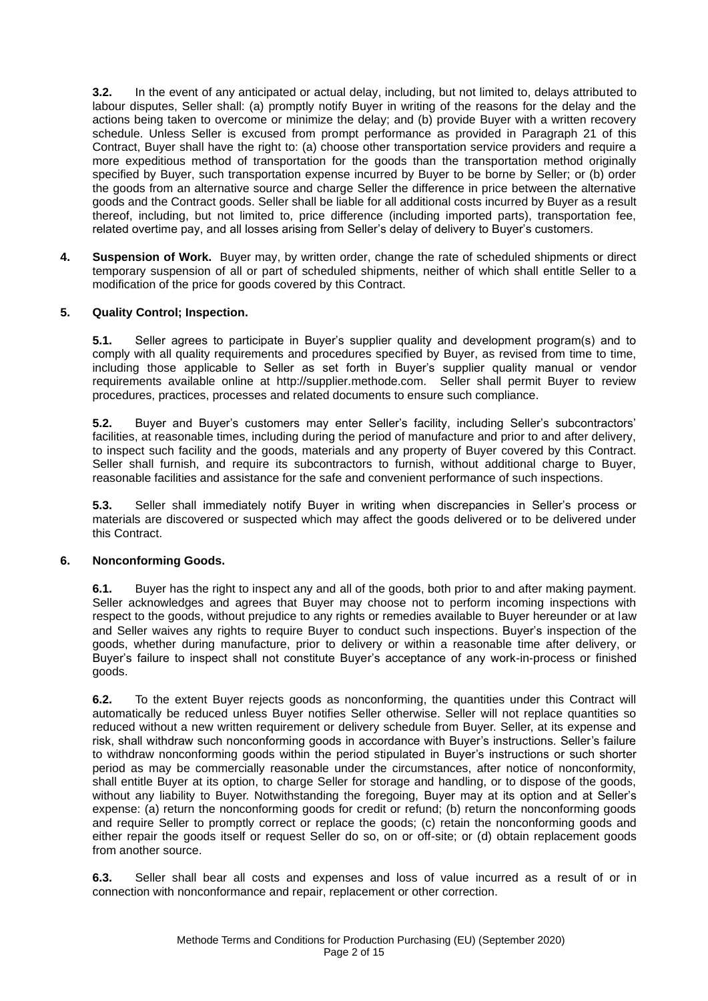**3.2.** In the event of any anticipated or actual delay, including, but not limited to, delays attributed to labour disputes, Seller shall: (a) promptly notify Buyer in writing of the reasons for the delay and the actions being taken to overcome or minimize the delay; and (b) provide Buyer with a written recovery schedule. Unless Seller is excused from prompt performance as provided in Paragraph 21 of this Contract, Buyer shall have the right to: (a) choose other transportation service providers and require a more expeditious method of transportation for the goods than the transportation method originally specified by Buyer, such transportation expense incurred by Buyer to be borne by Seller; or (b) order the goods from an alternative source and charge Seller the difference in price between the alternative goods and the Contract goods. Seller shall be liable for all additional costs incurred by Buyer as a result thereof, including, but not limited to, price difference (including imported parts), transportation fee, related overtime pay, and all losses arising from Seller's delay of delivery to Buyer's customers.

**4. Suspension of Work.** Buyer may, by written order, change the rate of scheduled shipments or direct temporary suspension of all or part of scheduled shipments, neither of which shall entitle Seller to a modification of the price for goods covered by this Contract.

# **5. Quality Control; Inspection.**

**5.1.** Seller agrees to participate in Buyer's supplier quality and development program(s) and to comply with all quality requirements and procedures specified by Buyer, as revised from time to time, including those applicable to Seller as set forth in Buyer's supplier quality manual or vendor requirements available online at http://supplier.methode.com. Seller shall permit Buyer to review procedures, practices, processes and related documents to ensure such compliance.

**5.2.** Buyer and Buyer's customers may enter Seller's facility, including Seller's subcontractors' facilities, at reasonable times, including during the period of manufacture and prior to and after delivery, to inspect such facility and the goods, materials and any property of Buyer covered by this Contract. Seller shall furnish, and require its subcontractors to furnish, without additional charge to Buyer, reasonable facilities and assistance for the safe and convenient performance of such inspections.

**5.3.** Seller shall immediately notify Buyer in writing when discrepancies in Seller's process or materials are discovered or suspected which may affect the goods delivered or to be delivered under this Contract.

# **6. Nonconforming Goods.**

**6.1.** Buyer has the right to inspect any and all of the goods, both prior to and after making payment. Seller acknowledges and agrees that Buyer may choose not to perform incoming inspections with respect to the goods, without prejudice to any rights or remedies available to Buyer hereunder or at law and Seller waives any rights to require Buyer to conduct such inspections. Buyer's inspection of the goods, whether during manufacture, prior to delivery or within a reasonable time after delivery, or Buyer's failure to inspect shall not constitute Buyer's acceptance of any work-in-process or finished goods.

**6.2.** To the extent Buyer rejects goods as nonconforming, the quantities under this Contract will automatically be reduced unless Buyer notifies Seller otherwise. Seller will not replace quantities so reduced without a new written requirement or delivery schedule from Buyer. Seller, at its expense and risk, shall withdraw such nonconforming goods in accordance with Buyer's instructions. Seller's failure to withdraw nonconforming goods within the period stipulated in Buyer's instructions or such shorter period as may be commercially reasonable under the circumstances, after notice of nonconformity, shall entitle Buyer at its option, to charge Seller for storage and handling, or to dispose of the goods, without any liability to Buyer. Notwithstanding the foregoing, Buyer may at its option and at Seller's expense: (a) return the nonconforming goods for credit or refund; (b) return the nonconforming goods and require Seller to promptly correct or replace the goods; (c) retain the nonconforming goods and either repair the goods itself or request Seller do so, on or off-site; or (d) obtain replacement goods from another source.

**6.3.** Seller shall bear all costs and expenses and loss of value incurred as a result of or in connection with nonconformance and repair, replacement or other correction.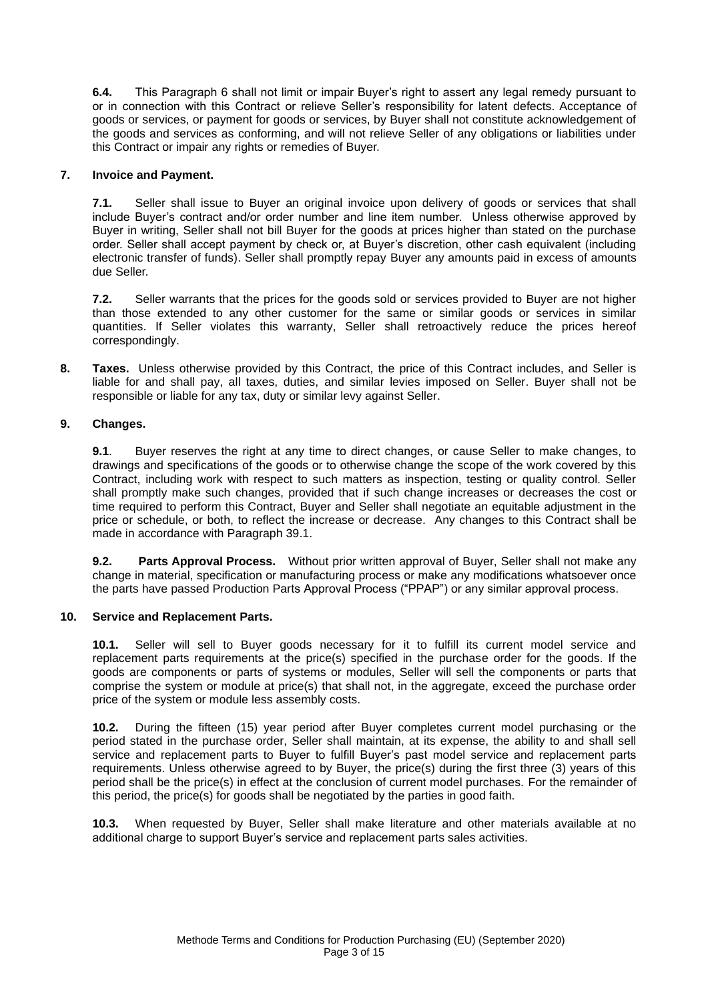**6.4.** This Paragraph 6 shall not limit or impair Buyer's right to assert any legal remedy pursuant to or in connection with this Contract or relieve Seller's responsibility for latent defects. Acceptance of goods or services, or payment for goods or services, by Buyer shall not constitute acknowledgement of the goods and services as conforming, and will not relieve Seller of any obligations or liabilities under this Contract or impair any rights or remedies of Buyer.

## **7. Invoice and Payment.**

**7.1.** Seller shall issue to Buyer an original invoice upon delivery of goods or services that shall include Buyer's contract and/or order number and line item number. Unless otherwise approved by Buyer in writing, Seller shall not bill Buyer for the goods at prices higher than stated on the purchase order. Seller shall accept payment by check or, at Buyer's discretion, other cash equivalent (including electronic transfer of funds). Seller shall promptly repay Buyer any amounts paid in excess of amounts due Seller.

**7.2.** Seller warrants that the prices for the goods sold or services provided to Buyer are not higher than those extended to any other customer for the same or similar goods or services in similar quantities. If Seller violates this warranty, Seller shall retroactively reduce the prices hereof correspondingly.

**8. Taxes.** Unless otherwise provided by this Contract, the price of this Contract includes, and Seller is liable for and shall pay, all taxes, duties, and similar levies imposed on Seller. Buyer shall not be responsible or liable for any tax, duty or similar levy against Seller.

## **9. Changes.**

**9.1**. Buyer reserves the right at any time to direct changes, or cause Seller to make changes, to drawings and specifications of the goods or to otherwise change the scope of the work covered by this Contract, including work with respect to such matters as inspection, testing or quality control. Seller shall promptly make such changes, provided that if such change increases or decreases the cost or time required to perform this Contract, Buyer and Seller shall negotiate an equitable adjustment in the price or schedule, or both, to reflect the increase or decrease. Any changes to this Contract shall be made in accordance with Paragraph 39.1.

**9.2. Parts Approval Process.** Without prior written approval of Buyer, Seller shall not make any change in material, specification or manufacturing process or make any modifications whatsoever once the parts have passed Production Parts Approval Process ("PPAP") or any similar approval process.

### **10. Service and Replacement Parts.**

**10.1.** Seller will sell to Buyer goods necessary for it to fulfill its current model service and replacement parts requirements at the price(s) specified in the purchase order for the goods. If the goods are components or parts of systems or modules, Seller will sell the components or parts that comprise the system or module at price(s) that shall not, in the aggregate, exceed the purchase order price of the system or module less assembly costs.

**10.2.** During the fifteen (15) year period after Buyer completes current model purchasing or the period stated in the purchase order, Seller shall maintain, at its expense, the ability to and shall sell service and replacement parts to Buyer to fulfill Buyer's past model service and replacement parts requirements. Unless otherwise agreed to by Buyer, the price(s) during the first three (3) years of this period shall be the price(s) in effect at the conclusion of current model purchases. For the remainder of this period, the price(s) for goods shall be negotiated by the parties in good faith.

**10.3.** When requested by Buyer, Seller shall make literature and other materials available at no additional charge to support Buyer's service and replacement parts sales activities.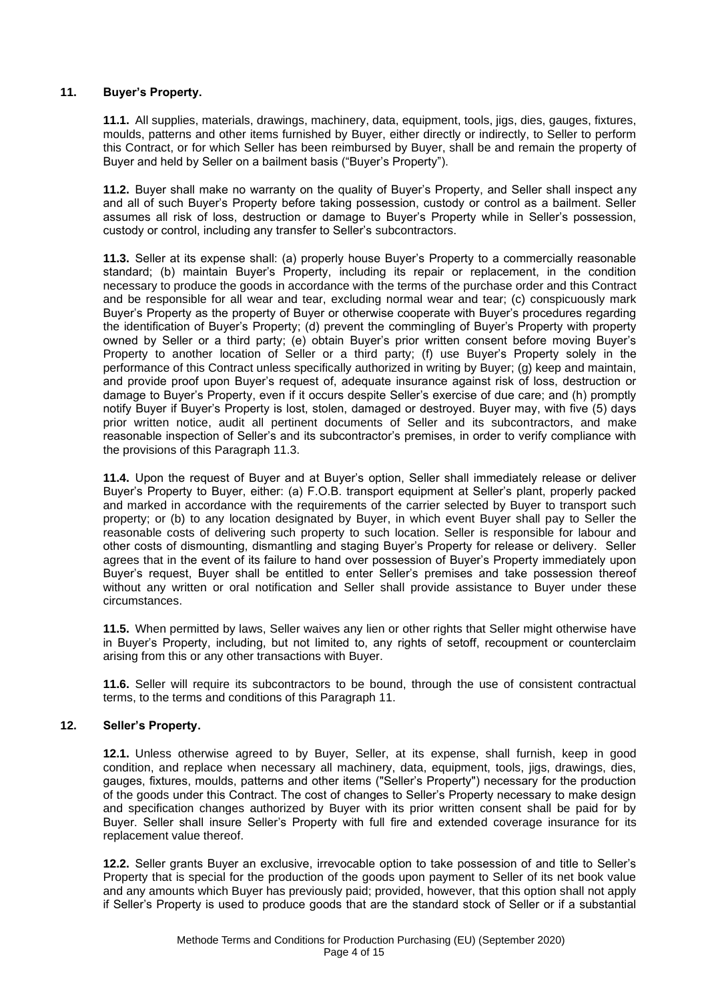# **11. Buyer's Property.**

**11.1.** All supplies, materials, drawings, machinery, data, equipment, tools, jigs, dies, gauges, fixtures, moulds, patterns and other items furnished by Buyer, either directly or indirectly, to Seller to perform this Contract, or for which Seller has been reimbursed by Buyer, shall be and remain the property of Buyer and held by Seller on a bailment basis ("Buyer's Property").

**11.2.** Buyer shall make no warranty on the quality of Buyer's Property, and Seller shall inspect any and all of such Buyer's Property before taking possession, custody or control as a bailment. Seller assumes all risk of loss, destruction or damage to Buyer's Property while in Seller's possession, custody or control, including any transfer to Seller's subcontractors.

**11.3.** Seller at its expense shall: (a) properly house Buyer's Property to a commercially reasonable standard; (b) maintain Buyer's Property, including its repair or replacement, in the condition necessary to produce the goods in accordance with the terms of the purchase order and this Contract and be responsible for all wear and tear, excluding normal wear and tear; (c) conspicuously mark Buyer's Property as the property of Buyer or otherwise cooperate with Buyer's procedures regarding the identification of Buyer's Property; (d) prevent the commingling of Buyer's Property with property owned by Seller or a third party; (e) obtain Buyer's prior written consent before moving Buyer's Property to another location of Seller or a third party; (f) use Buyer's Property solely in the performance of this Contract unless specifically authorized in writing by Buyer; (g) keep and maintain, and provide proof upon Buyer's request of, adequate insurance against risk of loss, destruction or damage to Buyer's Property, even if it occurs despite Seller's exercise of due care; and (h) promptly notify Buyer if Buyer's Property is lost, stolen, damaged or destroyed. Buyer may, with five (5) days prior written notice, audit all pertinent documents of Seller and its subcontractors, and make reasonable inspection of Seller's and its subcontractor's premises, in order to verify compliance with the provisions of this Paragraph 11.3.

**11.4.** Upon the request of Buyer and at Buyer's option, Seller shall immediately release or deliver Buyer's Property to Buyer, either: (a) F.O.B. transport equipment at Seller's plant, properly packed and marked in accordance with the requirements of the carrier selected by Buyer to transport such property; or (b) to any location designated by Buyer, in which event Buyer shall pay to Seller the reasonable costs of delivering such property to such location. Seller is responsible for labour and other costs of dismounting, dismantling and staging Buyer's Property for release or delivery. Seller agrees that in the event of its failure to hand over possession of Buyer's Property immediately upon Buyer's request, Buyer shall be entitled to enter Seller's premises and take possession thereof without any written or oral notification and Seller shall provide assistance to Buyer under these circumstances.

**11.5.** When permitted by laws, Seller waives any lien or other rights that Seller might otherwise have in Buyer's Property, including, but not limited to, any rights of setoff, recoupment or counterclaim arising from this or any other transactions with Buyer.

**11.6.** Seller will require its subcontractors to be bound, through the use of consistent contractual terms, to the terms and conditions of this Paragraph 11.

# **12. Seller's Property.**

**12.1.** Unless otherwise agreed to by Buyer, Seller, at its expense, shall furnish, keep in good condition, and replace when necessary all machinery, data, equipment, tools, jigs, drawings, dies, gauges, fixtures, moulds, patterns and other items ("Seller's Property") necessary for the production of the goods under this Contract. The cost of changes to Seller's Property necessary to make design and specification changes authorized by Buyer with its prior written consent shall be paid for by Buyer. Seller shall insure Seller's Property with full fire and extended coverage insurance for its replacement value thereof.

**12.2.** Seller grants Buyer an exclusive, irrevocable option to take possession of and title to Seller's Property that is special for the production of the goods upon payment to Seller of its net book value and any amounts which Buyer has previously paid; provided, however, that this option shall not apply if Seller's Property is used to produce goods that are the standard stock of Seller or if a substantial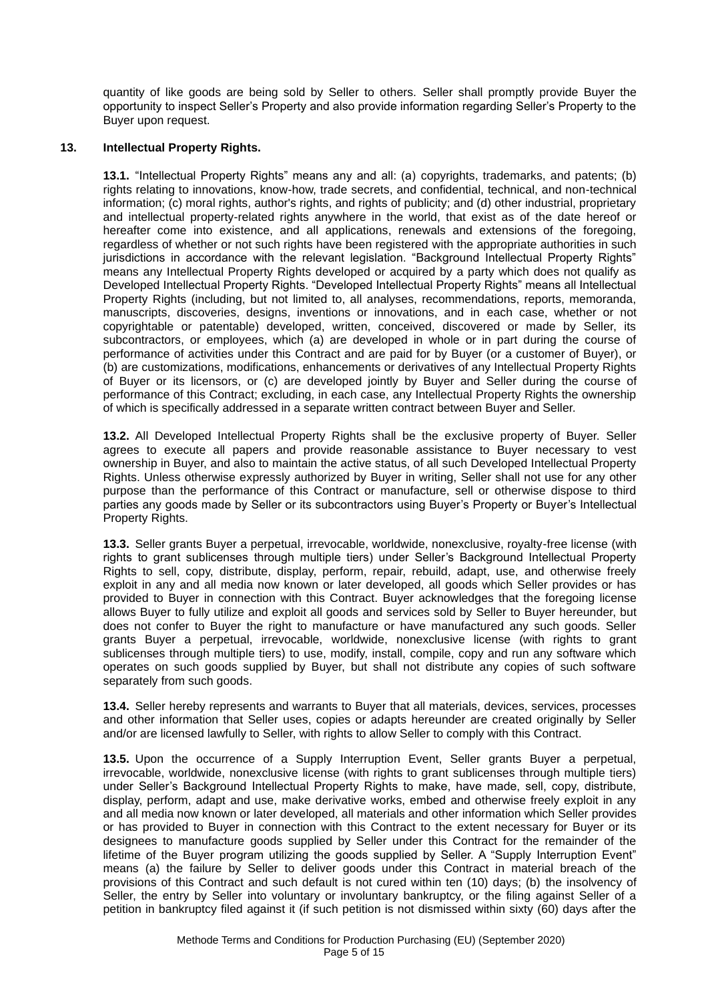quantity of like goods are being sold by Seller to others. Seller shall promptly provide Buyer the opportunity to inspect Seller's Property and also provide information regarding Seller's Property to the Buyer upon request.

## **13. Intellectual Property Rights.**

**13.1.** "Intellectual Property Rights" means any and all: (a) copyrights, trademarks, and patents; (b) rights relating to innovations, know-how, trade secrets, and confidential, technical, and non-technical information; (c) moral rights, author's rights, and rights of publicity; and (d) other industrial, proprietary and intellectual property-related rights anywhere in the world, that exist as of the date hereof or hereafter come into existence, and all applications, renewals and extensions of the foregoing, regardless of whether or not such rights have been registered with the appropriate authorities in such jurisdictions in accordance with the relevant legislation. "Background Intellectual Property Rights" means any Intellectual Property Rights developed or acquired by a party which does not qualify as Developed Intellectual Property Rights. "Developed Intellectual Property Rights" means all Intellectual Property Rights (including, but not limited to, all analyses, recommendations, reports, memoranda, manuscripts, discoveries, designs, inventions or innovations, and in each case, whether or not copyrightable or patentable) developed, written, conceived, discovered or made by Seller, its subcontractors, or employees, which (a) are developed in whole or in part during the course of performance of activities under this Contract and are paid for by Buyer (or a customer of Buyer), or (b) are customizations, modifications, enhancements or derivatives of any Intellectual Property Rights of Buyer or its licensors, or (c) are developed jointly by Buyer and Seller during the course of performance of this Contract; excluding, in each case, any Intellectual Property Rights the ownership of which is specifically addressed in a separate written contract between Buyer and Seller.

**13.2.** All Developed Intellectual Property Rights shall be the exclusive property of Buyer. Seller agrees to execute all papers and provide reasonable assistance to Buyer necessary to vest ownership in Buyer, and also to maintain the active status, of all such Developed Intellectual Property Rights. Unless otherwise expressly authorized by Buyer in writing, Seller shall not use for any other purpose than the performance of this Contract or manufacture, sell or otherwise dispose to third parties any goods made by Seller or its subcontractors using Buyer's Property or Buyer's Intellectual Property Rights.

**13.3.** Seller grants Buyer a perpetual, irrevocable, worldwide, nonexclusive, royalty-free license (with rights to grant sublicenses through multiple tiers) under Seller's Background Intellectual Property Rights to sell, copy, distribute, display, perform, repair, rebuild, adapt, use, and otherwise freely exploit in any and all media now known or later developed, all goods which Seller provides or has provided to Buyer in connection with this Contract. Buyer acknowledges that the foregoing license allows Buyer to fully utilize and exploit all goods and services sold by Seller to Buyer hereunder, but does not confer to Buyer the right to manufacture or have manufactured any such goods. Seller grants Buyer a perpetual, irrevocable, worldwide, nonexclusive license (with rights to grant sublicenses through multiple tiers) to use, modify, install, compile, copy and run any software which operates on such goods supplied by Buyer, but shall not distribute any copies of such software separately from such goods.

**13.4.** Seller hereby represents and warrants to Buyer that all materials, devices, services, processes and other information that Seller uses, copies or adapts hereunder are created originally by Seller and/or are licensed lawfully to Seller, with rights to allow Seller to comply with this Contract.

**13.5.** Upon the occurrence of a Supply Interruption Event, Seller grants Buyer a perpetual, irrevocable, worldwide, nonexclusive license (with rights to grant sublicenses through multiple tiers) under Seller's Background Intellectual Property Rights to make, have made, sell, copy, distribute, display, perform, adapt and use, make derivative works, embed and otherwise freely exploit in any and all media now known or later developed, all materials and other information which Seller provides or has provided to Buyer in connection with this Contract to the extent necessary for Buyer or its designees to manufacture goods supplied by Seller under this Contract for the remainder of the lifetime of the Buyer program utilizing the goods supplied by Seller. A "Supply Interruption Event" means (a) the failure by Seller to deliver goods under this Contract in material breach of the provisions of this Contract and such default is not cured within ten (10) days; (b) the insolvency of Seller, the entry by Seller into voluntary or involuntary bankruptcy, or the filing against Seller of a petition in bankruptcy filed against it (if such petition is not dismissed within sixty (60) days after the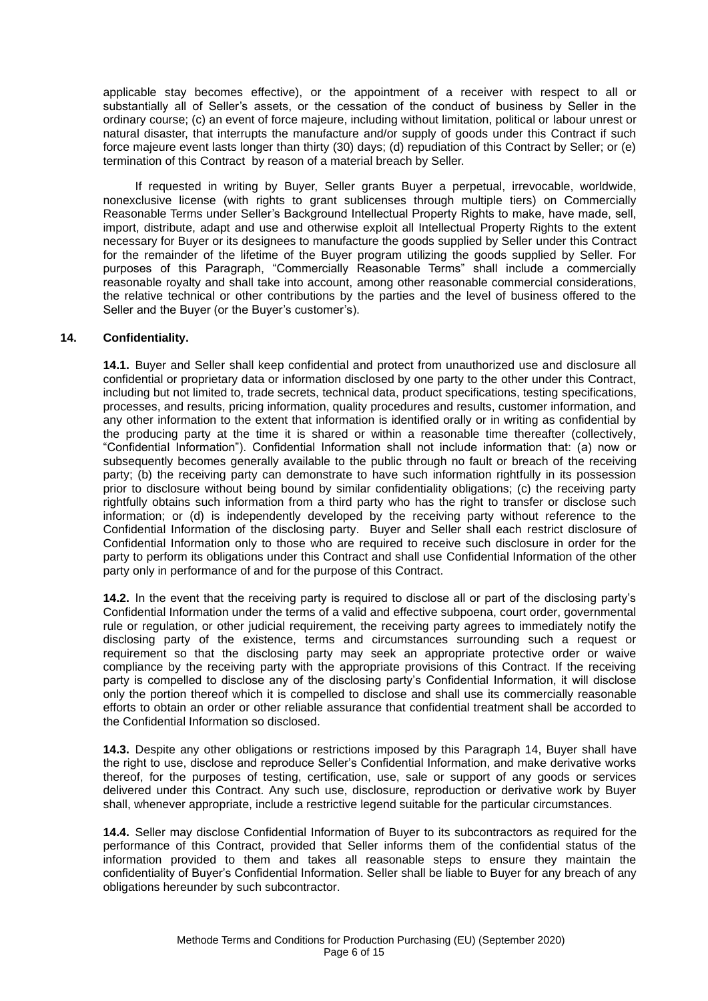applicable stay becomes effective), or the appointment of a receiver with respect to all or substantially all of Seller's assets, or the cessation of the conduct of business by Seller in the ordinary course; (c) an event of force majeure, including without limitation, political or labour unrest or natural disaster, that interrupts the manufacture and/or supply of goods under this Contract if such force majeure event lasts longer than thirty (30) days; (d) repudiation of this Contract by Seller; or (e) termination of this Contract by reason of a material breach by Seller.

If requested in writing by Buyer, Seller grants Buyer a perpetual, irrevocable, worldwide, nonexclusive license (with rights to grant sublicenses through multiple tiers) on Commercially Reasonable Terms under Seller's Background Intellectual Property Rights to make, have made, sell, import, distribute, adapt and use and otherwise exploit all Intellectual Property Rights to the extent necessary for Buyer or its designees to manufacture the goods supplied by Seller under this Contract for the remainder of the lifetime of the Buyer program utilizing the goods supplied by Seller. For purposes of this Paragraph, "Commercially Reasonable Terms" shall include a commercially reasonable royalty and shall take into account, among other reasonable commercial considerations, the relative technical or other contributions by the parties and the level of business offered to the Seller and the Buyer (or the Buyer's customer's).

## **14. Confidentiality.**

**14.1.** Buyer and Seller shall keep confidential and protect from unauthorized use and disclosure all confidential or proprietary data or information disclosed by one party to the other under this Contract, including but not limited to, trade secrets, technical data, product specifications, testing specifications, processes, and results, pricing information, quality procedures and results, customer information, and any other information to the extent that information is identified orally or in writing as confidential by the producing party at the time it is shared or within a reasonable time thereafter (collectively, "Confidential Information"). Confidential Information shall not include information that: (a) now or subsequently becomes generally available to the public through no fault or breach of the receiving party; (b) the receiving party can demonstrate to have such information rightfully in its possession prior to disclosure without being bound by similar confidentiality obligations; (c) the receiving party rightfully obtains such information from a third party who has the right to transfer or disclose such information; or (d) is independently developed by the receiving party without reference to the Confidential Information of the disclosing party. Buyer and Seller shall each restrict disclosure of Confidential Information only to those who are required to receive such disclosure in order for the party to perform its obligations under this Contract and shall use Confidential Information of the other party only in performance of and for the purpose of this Contract.

**14.2.** In the event that the receiving party is required to disclose all or part of the disclosing party's Confidential Information under the terms of a valid and effective subpoena, court order, governmental rule or regulation, or other judicial requirement, the receiving party agrees to immediately notify the disclosing party of the existence, terms and circumstances surrounding such a request or requirement so that the disclosing party may seek an appropriate protective order or waive compliance by the receiving party with the appropriate provisions of this Contract. If the receiving party is compelled to disclose any of the disclosing party's Confidential Information, it will disclose only the portion thereof which it is compelled to disclose and shall use its commercially reasonable efforts to obtain an order or other reliable assurance that confidential treatment shall be accorded to the Confidential Information so disclosed.

**14.3.** Despite any other obligations or restrictions imposed by this Paragraph 14, Buyer shall have the right to use, disclose and reproduce Seller's Confidential Information, and make derivative works thereof, for the purposes of testing, certification, use, sale or support of any goods or services delivered under this Contract. Any such use, disclosure, reproduction or derivative work by Buyer shall, whenever appropriate, include a restrictive legend suitable for the particular circumstances.

**14.4.** Seller may disclose Confidential Information of Buyer to its subcontractors as required for the performance of this Contract, provided that Seller informs them of the confidential status of the information provided to them and takes all reasonable steps to ensure they maintain the confidentiality of Buyer's Confidential Information. Seller shall be liable to Buyer for any breach of any obligations hereunder by such subcontractor.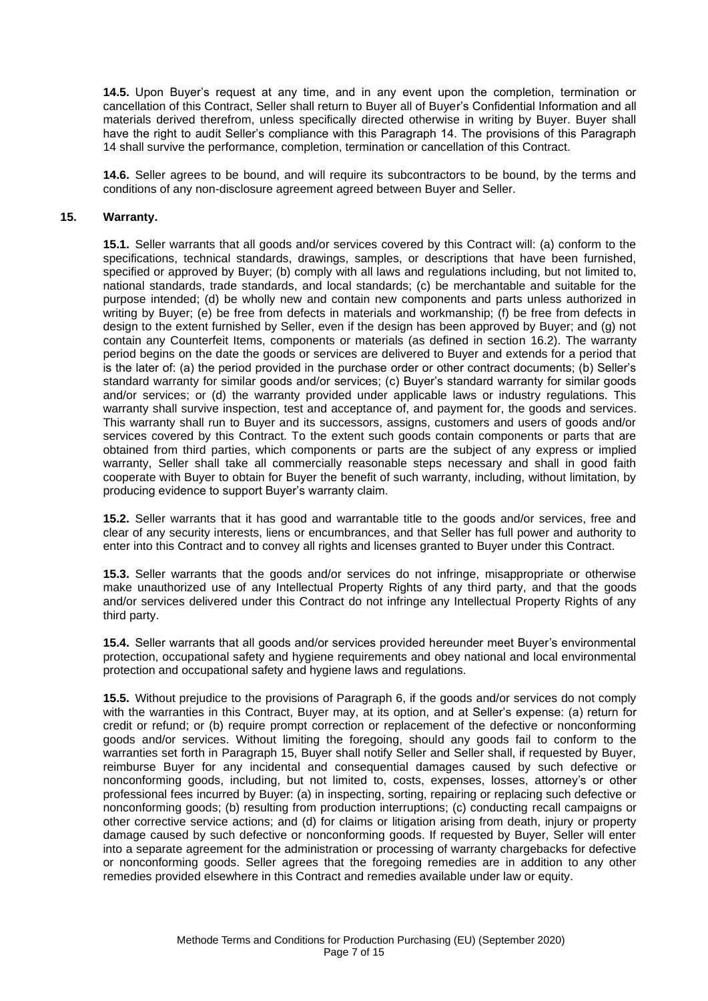**14.5.** Upon Buyer's request at any time, and in any event upon the completion, termination or cancellation of this Contract, Seller shall return to Buyer all of Buyer's Confidential Information and all materials derived therefrom, unless specifically directed otherwise in writing by Buyer. Buyer shall have the right to audit Seller's compliance with this Paragraph 14. The provisions of this Paragraph 14 shall survive the performance, completion, termination or cancellation of this Contract.

**14.6.** Seller agrees to be bound, and will require its subcontractors to be bound, by the terms and conditions of any non-disclosure agreement agreed between Buyer and Seller.

#### **15. Warranty.**

**15.1.** Seller warrants that all goods and/or services covered by this Contract will: (a) conform to the specifications, technical standards, drawings, samples, or descriptions that have been furnished, specified or approved by Buyer; (b) comply with all laws and regulations including, but not limited to, national standards, trade standards, and local standards; (c) be merchantable and suitable for the purpose intended; (d) be wholly new and contain new components and parts unless authorized in writing by Buyer; (e) be free from defects in materials and workmanship; (f) be free from defects in design to the extent furnished by Seller, even if the design has been approved by Buyer; and (g) not contain any Counterfeit Items, components or materials (as defined in section 16.2). The warranty period begins on the date the goods or services are delivered to Buyer and extends for a period that is the later of: (a) the period provided in the purchase order or other contract documents; (b) Seller's standard warranty for similar goods and/or services; (c) Buyer's standard warranty for similar goods and/or services; or (d) the warranty provided under applicable laws or industry regulations. This warranty shall survive inspection, test and acceptance of, and payment for, the goods and services. This warranty shall run to Buyer and its successors, assigns, customers and users of goods and/or services covered by this Contract. To the extent such goods contain components or parts that are obtained from third parties, which components or parts are the subject of any express or implied warranty, Seller shall take all commercially reasonable steps necessary and shall in good faith cooperate with Buyer to obtain for Buyer the benefit of such warranty, including, without limitation, by producing evidence to support Buyer's warranty claim.

**15.2.** Seller warrants that it has good and warrantable title to the goods and/or services, free and clear of any security interests, liens or encumbrances, and that Seller has full power and authority to enter into this Contract and to convey all rights and licenses granted to Buyer under this Contract.

**15.3.** Seller warrants that the goods and/or services do not infringe, misappropriate or otherwise make unauthorized use of any Intellectual Property Rights of any third party, and that the goods and/or services delivered under this Contract do not infringe any Intellectual Property Rights of any third party.

**15.4.** Seller warrants that all goods and/or services provided hereunder meet Buyer's environmental protection, occupational safety and hygiene requirements and obey national and local environmental protection and occupational safety and hygiene laws and regulations.

**15.5.** Without prejudice to the provisions of Paragraph 6, if the goods and/or services do not comply with the warranties in this Contract, Buyer may, at its option, and at Seller's expense: (a) return for credit or refund; or (b) require prompt correction or replacement of the defective or nonconforming goods and/or services. Without limiting the foregoing, should any goods fail to conform to the warranties set forth in Paragraph 15, Buyer shall notify Seller and Seller shall, if requested by Buyer, reimburse Buyer for any incidental and consequential damages caused by such defective or nonconforming goods, including, but not limited to, costs, expenses, losses, attorney's or other professional fees incurred by Buyer: (a) in inspecting, sorting, repairing or replacing such defective or nonconforming goods; (b) resulting from production interruptions; (c) conducting recall campaigns or other corrective service actions; and (d) for claims or litigation arising from death, injury or property damage caused by such defective or nonconforming goods. If requested by Buyer, Seller will enter into a separate agreement for the administration or processing of warranty chargebacks for defective or nonconforming goods. Seller agrees that the foregoing remedies are in addition to any other remedies provided elsewhere in this Contract and remedies available under law or equity.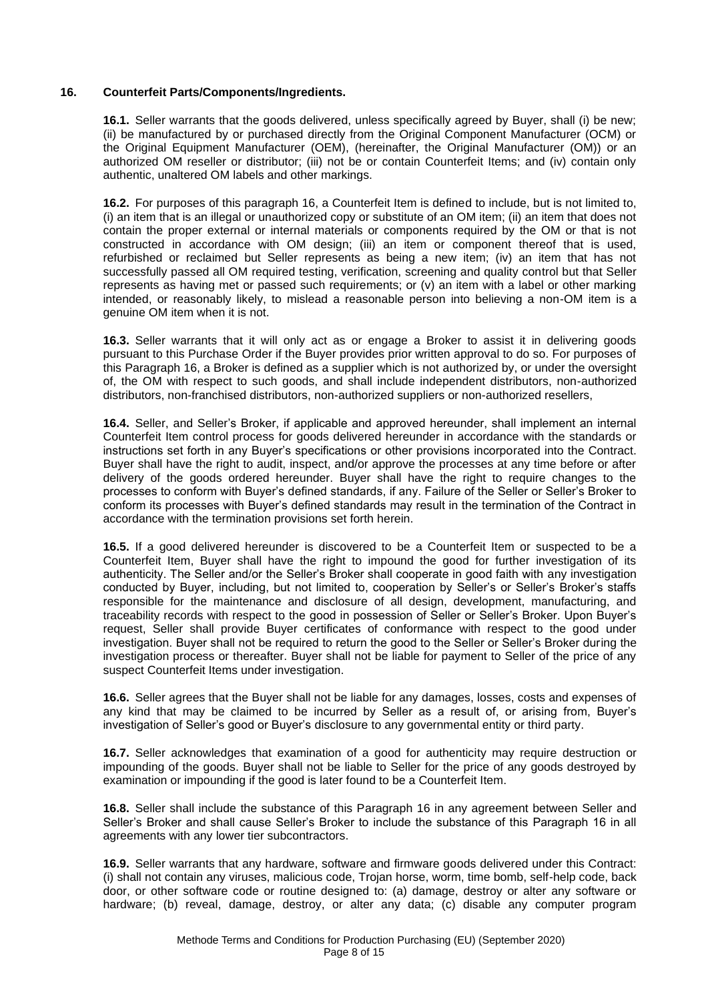## **16. Counterfeit Parts/Components/Ingredients.**

**16.1.** Seller warrants that the goods delivered, unless specifically agreed by Buyer, shall (i) be new; (ii) be manufactured by or purchased directly from the Original Component Manufacturer (OCM) or the Original Equipment Manufacturer (OEM), (hereinafter, the Original Manufacturer (OM)) or an authorized OM reseller or distributor; (iii) not be or contain Counterfeit Items; and (iv) contain only authentic, unaltered OM labels and other markings.

**16.2.** For purposes of this paragraph 16, a Counterfeit Item is defined to include, but is not limited to, (i) an item that is an illegal or unauthorized copy or substitute of an OM item; (ii) an item that does not contain the proper external or internal materials or components required by the OM or that is not constructed in accordance with OM design; (iii) an item or component thereof that is used, refurbished or reclaimed but Seller represents as being a new item; (iv) an item that has not successfully passed all OM required testing, verification, screening and quality control but that Seller represents as having met or passed such requirements; or (v) an item with a label or other marking intended, or reasonably likely, to mislead a reasonable person into believing a non-OM item is a genuine OM item when it is not.

**16.3.** Seller warrants that it will only act as or engage a Broker to assist it in delivering goods pursuant to this Purchase Order if the Buyer provides prior written approval to do so. For purposes of this Paragraph 16, a Broker is defined as a supplier which is not authorized by, or under the oversight of, the OM with respect to such goods, and shall include independent distributors, non-authorized distributors, non-franchised distributors, non-authorized suppliers or non-authorized resellers,

**16.4.** Seller, and Seller's Broker, if applicable and approved hereunder, shall implement an internal Counterfeit Item control process for goods delivered hereunder in accordance with the standards or instructions set forth in any Buyer's specifications or other provisions incorporated into the Contract. Buyer shall have the right to audit, inspect, and/or approve the processes at any time before or after delivery of the goods ordered hereunder. Buyer shall have the right to require changes to the processes to conform with Buyer's defined standards, if any. Failure of the Seller or Seller's Broker to conform its processes with Buyer's defined standards may result in the termination of the Contract in accordance with the termination provisions set forth herein.

**16.5.** If a good delivered hereunder is discovered to be a Counterfeit Item or suspected to be a Counterfeit Item, Buyer shall have the right to impound the good for further investigation of its authenticity. The Seller and/or the Seller's Broker shall cooperate in good faith with any investigation conducted by Buyer, including, but not limited to, cooperation by Seller's or Seller's Broker's staffs responsible for the maintenance and disclosure of all design, development, manufacturing, and traceability records with respect to the good in possession of Seller or Seller's Broker. Upon Buyer's request, Seller shall provide Buyer certificates of conformance with respect to the good under investigation. Buyer shall not be required to return the good to the Seller or Seller's Broker during the investigation process or thereafter. Buyer shall not be liable for payment to Seller of the price of any suspect Counterfeit Items under investigation.

**16.6.** Seller agrees that the Buyer shall not be liable for any damages, losses, costs and expenses of any kind that may be claimed to be incurred by Seller as a result of, or arising from, Buyer's investigation of Seller's good or Buyer's disclosure to any governmental entity or third party.

**16.7.** Seller acknowledges that examination of a good for authenticity may require destruction or impounding of the goods. Buyer shall not be liable to Seller for the price of any goods destroyed by examination or impounding if the good is later found to be a Counterfeit Item.

**16.8.** Seller shall include the substance of this Paragraph 16 in any agreement between Seller and Seller's Broker and shall cause Seller's Broker to include the substance of this Paragraph 16 in all agreements with any lower tier subcontractors.

**16.9.** Seller warrants that any hardware, software and firmware goods delivered under this Contract: (i) shall not contain any viruses, malicious code, Trojan horse, worm, time bomb, self-help code, back door, or other software code or routine designed to: (a) damage, destroy or alter any software or hardware; (b) reveal, damage, destroy, or alter any data; (c) disable any computer program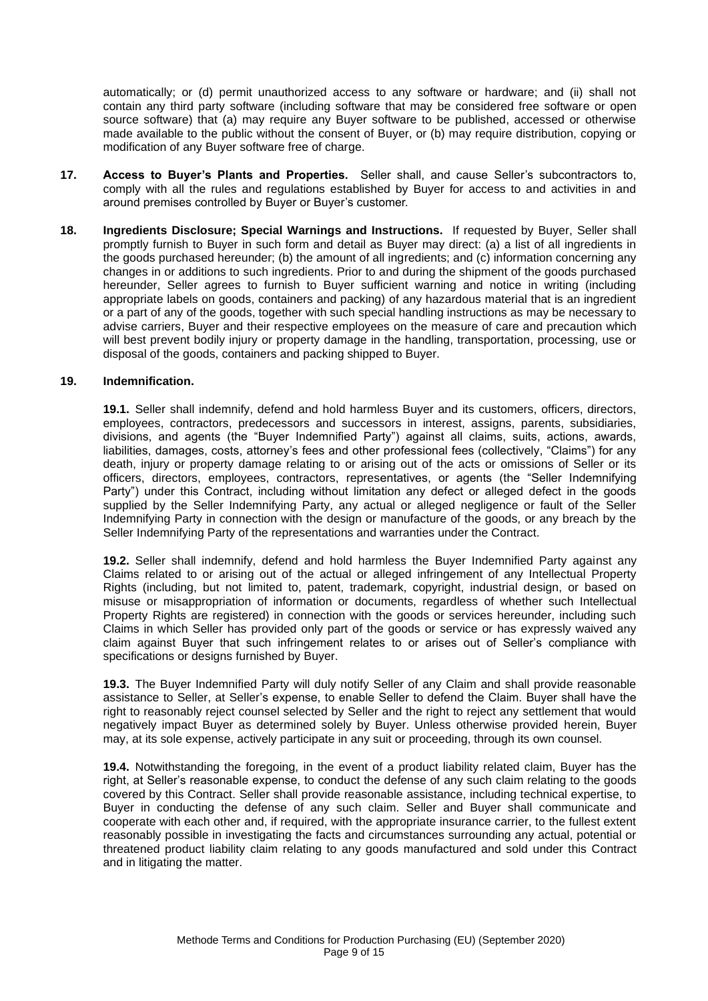automatically; or (d) permit unauthorized access to any software or hardware; and (ii) shall not contain any third party software (including software that may be considered free software or open source software) that (a) may require any Buyer software to be published, accessed or otherwise made available to the public without the consent of Buyer, or (b) may require distribution, copying or modification of any Buyer software free of charge.

- **17. Access to Buyer's Plants and Properties.** Seller shall, and cause Seller's subcontractors to, comply with all the rules and regulations established by Buyer for access to and activities in and around premises controlled by Buyer or Buyer's customer.
- **18. Ingredients Disclosure; Special Warnings and Instructions.** If requested by Buyer, Seller shall promptly furnish to Buyer in such form and detail as Buyer may direct: (a) a list of all ingredients in the goods purchased hereunder; (b) the amount of all ingredients; and (c) information concerning any changes in or additions to such ingredients. Prior to and during the shipment of the goods purchased hereunder, Seller agrees to furnish to Buyer sufficient warning and notice in writing (including appropriate labels on goods, containers and packing) of any hazardous material that is an ingredient or a part of any of the goods, together with such special handling instructions as may be necessary to advise carriers, Buyer and their respective employees on the measure of care and precaution which will best prevent bodily injury or property damage in the handling, transportation, processing, use or disposal of the goods, containers and packing shipped to Buyer.

### **19. Indemnification.**

**19.1.** Seller shall indemnify, defend and hold harmless Buyer and its customers, officers, directors, employees, contractors, predecessors and successors in interest, assigns, parents, subsidiaries, divisions, and agents (the "Buyer Indemnified Party") against all claims, suits, actions, awards, liabilities, damages, costs, attorney's fees and other professional fees (collectively, "Claims") for any death, injury or property damage relating to or arising out of the acts or omissions of Seller or its officers, directors, employees, contractors, representatives, or agents (the "Seller Indemnifying Party") under this Contract, including without limitation any defect or alleged defect in the goods supplied by the Seller Indemnifying Party, any actual or alleged negligence or fault of the Seller Indemnifying Party in connection with the design or manufacture of the goods, or any breach by the Seller Indemnifying Party of the representations and warranties under the Contract.

**19.2.** Seller shall indemnify, defend and hold harmless the Buyer Indemnified Party against any Claims related to or arising out of the actual or alleged infringement of any Intellectual Property Rights (including, but not limited to, patent, trademark, copyright, industrial design, or based on misuse or misappropriation of information or documents, regardless of whether such Intellectual Property Rights are registered) in connection with the goods or services hereunder, including such Claims in which Seller has provided only part of the goods or service or has expressly waived any claim against Buyer that such infringement relates to or arises out of Seller's compliance with specifications or designs furnished by Buyer.

**19.3.** The Buyer Indemnified Party will duly notify Seller of any Claim and shall provide reasonable assistance to Seller, at Seller's expense, to enable Seller to defend the Claim. Buyer shall have the right to reasonably reject counsel selected by Seller and the right to reject any settlement that would negatively impact Buyer as determined solely by Buyer. Unless otherwise provided herein, Buyer may, at its sole expense, actively participate in any suit or proceeding, through its own counsel.

**19.4.** Notwithstanding the foregoing, in the event of a product liability related claim, Buyer has the right, at Seller's reasonable expense, to conduct the defense of any such claim relating to the goods covered by this Contract. Seller shall provide reasonable assistance, including technical expertise, to Buyer in conducting the defense of any such claim. Seller and Buyer shall communicate and cooperate with each other and, if required, with the appropriate insurance carrier, to the fullest extent reasonably possible in investigating the facts and circumstances surrounding any actual, potential or threatened product liability claim relating to any goods manufactured and sold under this Contract and in litigating the matter.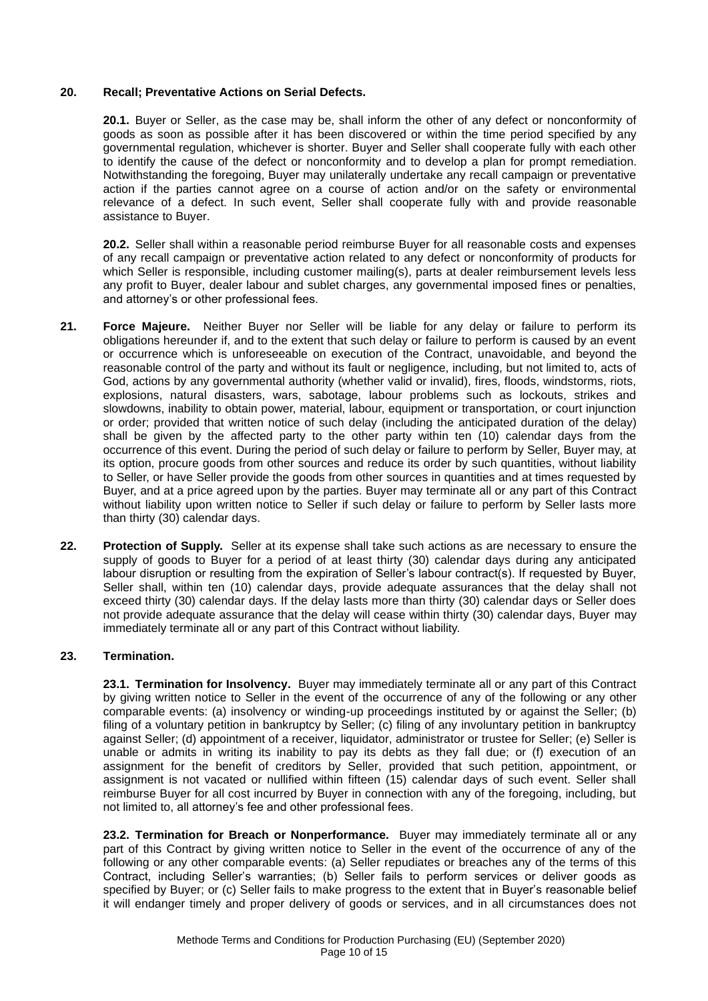### **20. Recall; Preventative Actions on Serial Defects.**

**20.1.** Buyer or Seller, as the case may be, shall inform the other of any defect or nonconformity of goods as soon as possible after it has been discovered or within the time period specified by any governmental regulation, whichever is shorter. Buyer and Seller shall cooperate fully with each other to identify the cause of the defect or nonconformity and to develop a plan for prompt remediation. Notwithstanding the foregoing, Buyer may unilaterally undertake any recall campaign or preventative action if the parties cannot agree on a course of action and/or on the safety or environmental relevance of a defect. In such event, Seller shall cooperate fully with and provide reasonable assistance to Buyer.

**20.2.** Seller shall within a reasonable period reimburse Buyer for all reasonable costs and expenses of any recall campaign or preventative action related to any defect or nonconformity of products for which Seller is responsible, including customer mailing(s), parts at dealer reimbursement levels less any profit to Buyer, dealer labour and sublet charges, any governmental imposed fines or penalties, and attorney's or other professional fees.

- **21. Force Majeure.** Neither Buyer nor Seller will be liable for any delay or failure to perform its obligations hereunder if, and to the extent that such delay or failure to perform is caused by an event or occurrence which is unforeseeable on execution of the Contract, unavoidable, and beyond the reasonable control of the party and without its fault or negligence, including, but not limited to, acts of God, actions by any governmental authority (whether valid or invalid), fires, floods, windstorms, riots, explosions, natural disasters, wars, sabotage, labour problems such as lockouts, strikes and slowdowns, inability to obtain power, material, labour, equipment or transportation, or court injunction or order; provided that written notice of such delay (including the anticipated duration of the delay) shall be given by the affected party to the other party within ten (10) calendar days from the occurrence of this event. During the period of such delay or failure to perform by Seller, Buyer may, at its option, procure goods from other sources and reduce its order by such quantities, without liability to Seller, or have Seller provide the goods from other sources in quantities and at times requested by Buyer, and at a price agreed upon by the parties. Buyer may terminate all or any part of this Contract without liability upon written notice to Seller if such delay or failure to perform by Seller lasts more than thirty (30) calendar days.
- **22. Protection of Supply.** Seller at its expense shall take such actions as are necessary to ensure the supply of goods to Buyer for a period of at least thirty (30) calendar days during any anticipated labour disruption or resulting from the expiration of Seller's labour contract(s). If requested by Buyer, Seller shall, within ten (10) calendar days, provide adequate assurances that the delay shall not exceed thirty (30) calendar days. If the delay lasts more than thirty (30) calendar days or Seller does not provide adequate assurance that the delay will cease within thirty (30) calendar days, Buyer may immediately terminate all or any part of this Contract without liability.

### **23. Termination.**

**23.1. Termination for Insolvency.** Buyer may immediately terminate all or any part of this Contract by giving written notice to Seller in the event of the occurrence of any of the following or any other comparable events: (a) insolvency or winding-up proceedings instituted by or against the Seller; (b) filing of a voluntary petition in bankruptcy by Seller; (c) filing of any involuntary petition in bankruptcy against Seller; (d) appointment of a receiver, liquidator, administrator or trustee for Seller; (e) Seller is unable or admits in writing its inability to pay its debts as they fall due; or (f) execution of an assignment for the benefit of creditors by Seller, provided that such petition, appointment, or assignment is not vacated or nullified within fifteen (15) calendar days of such event. Seller shall reimburse Buyer for all cost incurred by Buyer in connection with any of the foregoing, including, but not limited to, all attorney's fee and other professional fees.

**23.2. Termination for Breach or Nonperformance.** Buyer may immediately terminate all or any part of this Contract by giving written notice to Seller in the event of the occurrence of any of the following or any other comparable events: (a) Seller repudiates or breaches any of the terms of this Contract, including Seller's warranties; (b) Seller fails to perform services or deliver goods as specified by Buyer; or (c) Seller fails to make progress to the extent that in Buyer's reasonable belief it will endanger timely and proper delivery of goods or services, and in all circumstances does not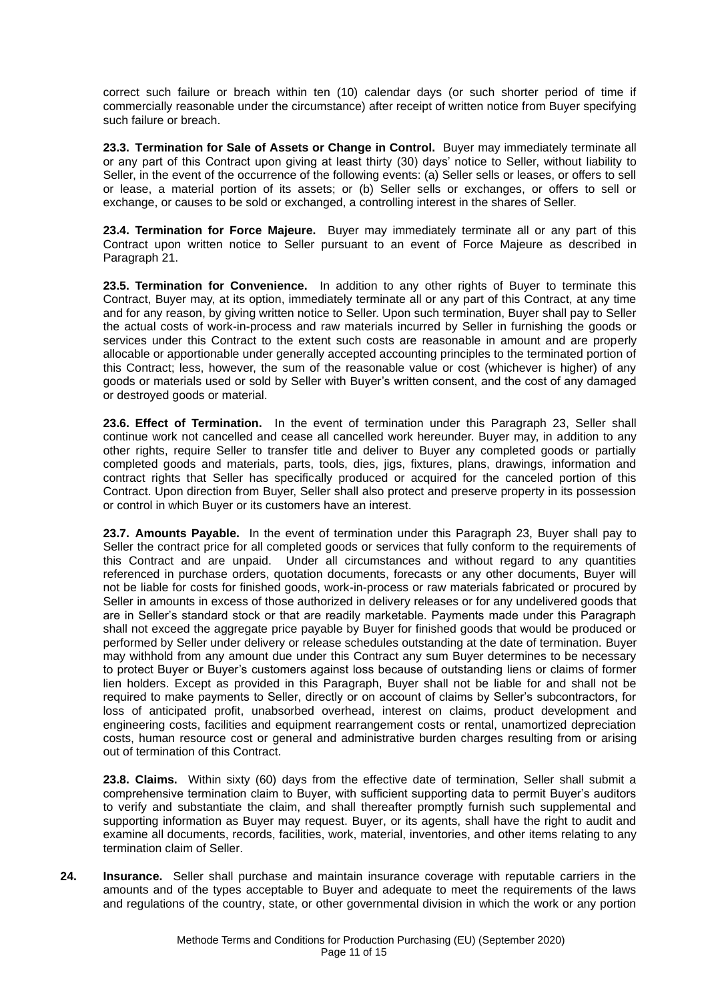correct such failure or breach within ten (10) calendar days (or such shorter period of time if commercially reasonable under the circumstance) after receipt of written notice from Buyer specifying such failure or breach.

**23.3. Termination for Sale of Assets or Change in Control.** Buyer may immediately terminate all or any part of this Contract upon giving at least thirty (30) days' notice to Seller, without liability to Seller, in the event of the occurrence of the following events: (a) Seller sells or leases, or offers to sell or lease, a material portion of its assets; or (b) Seller sells or exchanges, or offers to sell or exchange, or causes to be sold or exchanged, a controlling interest in the shares of Seller.

**23.4. Termination for Force Majeure.** Buyer may immediately terminate all or any part of this Contract upon written notice to Seller pursuant to an event of Force Majeure as described in Paragraph 21.

**23.5. Termination for Convenience.** In addition to any other rights of Buyer to terminate this Contract, Buyer may, at its option, immediately terminate all or any part of this Contract, at any time and for any reason, by giving written notice to Seller. Upon such termination, Buyer shall pay to Seller the actual costs of work-in-process and raw materials incurred by Seller in furnishing the goods or services under this Contract to the extent such costs are reasonable in amount and are properly allocable or apportionable under generally accepted accounting principles to the terminated portion of this Contract; less, however, the sum of the reasonable value or cost (whichever is higher) of any goods or materials used or sold by Seller with Buyer's written consent, and the cost of any damaged or destroyed goods or material.

**23.6. Effect of Termination.** In the event of termination under this Paragraph 23, Seller shall continue work not cancelled and cease all cancelled work hereunder. Buyer may, in addition to any other rights, require Seller to transfer title and deliver to Buyer any completed goods or partially completed goods and materials, parts, tools, dies, jigs, fixtures, plans, drawings, information and contract rights that Seller has specifically produced or acquired for the canceled portion of this Contract. Upon direction from Buyer, Seller shall also protect and preserve property in its possession or control in which Buyer or its customers have an interest.

**23.7. Amounts Payable.** In the event of termination under this Paragraph 23, Buyer shall pay to Seller the contract price for all completed goods or services that fully conform to the requirements of this Contract and are unpaid. Under all circumstances and without regard to any quantities referenced in purchase orders, quotation documents, forecasts or any other documents, Buyer will not be liable for costs for finished goods, work-in-process or raw materials fabricated or procured by Seller in amounts in excess of those authorized in delivery releases or for any undelivered goods that are in Seller's standard stock or that are readily marketable. Payments made under this Paragraph shall not exceed the aggregate price payable by Buyer for finished goods that would be produced or performed by Seller under delivery or release schedules outstanding at the date of termination. Buyer may withhold from any amount due under this Contract any sum Buyer determines to be necessary to protect Buyer or Buyer's customers against loss because of outstanding liens or claims of former lien holders. Except as provided in this Paragraph, Buyer shall not be liable for and shall not be required to make payments to Seller, directly or on account of claims by Seller's subcontractors, for loss of anticipated profit, unabsorbed overhead, interest on claims, product development and engineering costs, facilities and equipment rearrangement costs or rental, unamortized depreciation costs, human resource cost or general and administrative burden charges resulting from or arising out of termination of this Contract.

**23.8. Claims.** Within sixty (60) days from the effective date of termination, Seller shall submit a comprehensive termination claim to Buyer, with sufficient supporting data to permit Buyer's auditors to verify and substantiate the claim, and shall thereafter promptly furnish such supplemental and supporting information as Buyer may request. Buyer, or its agents, shall have the right to audit and examine all documents, records, facilities, work, material, inventories, and other items relating to any termination claim of Seller.

**24. Insurance.** Seller shall purchase and maintain insurance coverage with reputable carriers in the amounts and of the types acceptable to Buyer and adequate to meet the requirements of the laws and regulations of the country, state, or other governmental division in which the work or any portion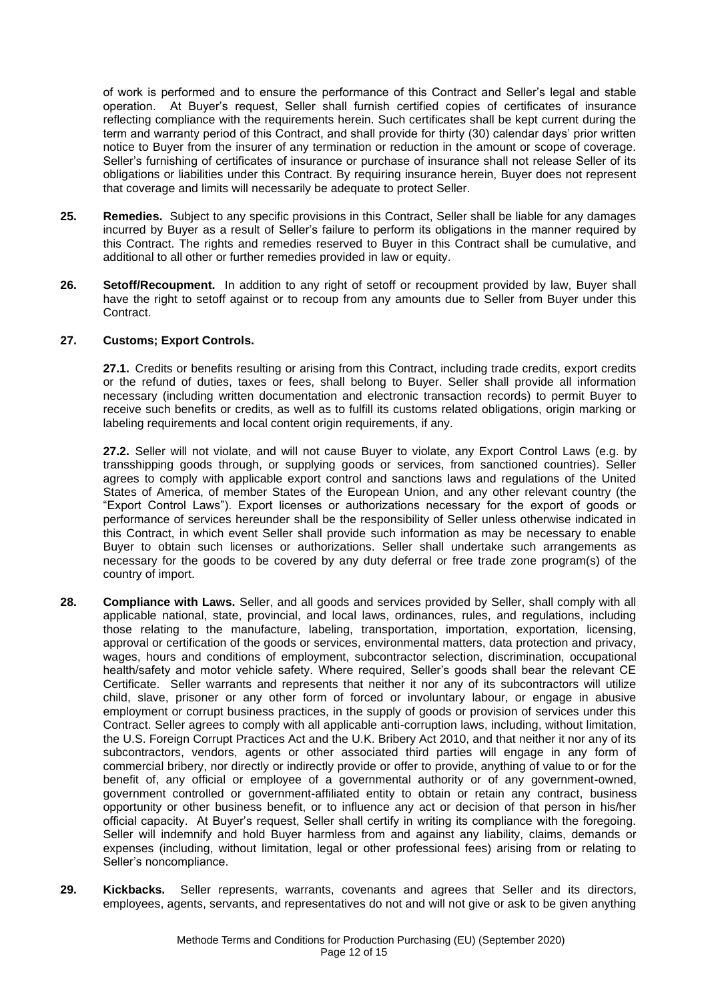of work is performed and to ensure the performance of this Contract and Seller's legal and stable operation. At Buyer's request, Seller shall furnish certified copies of certificates of insurance reflecting compliance with the requirements herein. Such certificates shall be kept current during the term and warranty period of this Contract, and shall provide for thirty (30) calendar days' prior written notice to Buyer from the insurer of any termination or reduction in the amount or scope of coverage. Seller's furnishing of certificates of insurance or purchase of insurance shall not release Seller of its obligations or liabilities under this Contract. By requiring insurance herein, Buyer does not represent that coverage and limits will necessarily be adequate to protect Seller.

- **25. Remedies.** Subject to any specific provisions in this Contract, Seller shall be liable for any damages incurred by Buyer as a result of Seller's failure to perform its obligations in the manner required by this Contract. The rights and remedies reserved to Buyer in this Contract shall be cumulative, and additional to all other or further remedies provided in law or equity.
- **26. Setoff/Recoupment.** In addition to any right of setoff or recoupment provided by law, Buyer shall have the right to setoff against or to recoup from any amounts due to Seller from Buyer under this Contract.

### **27. Customs; Export Controls.**

**27.1.** Credits or benefits resulting or arising from this Contract, including trade credits, export credits or the refund of duties, taxes or fees, shall belong to Buyer. Seller shall provide all information necessary (including written documentation and electronic transaction records) to permit Buyer to receive such benefits or credits, as well as to fulfill its customs related obligations, origin marking or labeling requirements and local content origin requirements, if any.

**27.2.** Seller will not violate, and will not cause Buyer to violate, any Export Control Laws (e.g. by transshipping goods through, or supplying goods or services, from sanctioned countries). Seller agrees to comply with applicable export control and sanctions laws and regulations of the United States of America, of member States of the European Union, and any other relevant country (the "Export Control Laws"). Export licenses or authorizations necessary for the export of goods or performance of services hereunder shall be the responsibility of Seller unless otherwise indicated in this Contract, in which event Seller shall provide such information as may be necessary to enable Buyer to obtain such licenses or authorizations. Seller shall undertake such arrangements as necessary for the goods to be covered by any duty deferral or free trade zone program(s) of the country of import.

- **28. Compliance with Laws.** Seller, and all goods and services provided by Seller, shall comply with all applicable national, state, provincial, and local laws, ordinances, rules, and regulations, including those relating to the manufacture, labeling, transportation, importation, exportation, licensing, approval or certification of the goods or services, environmental matters, data protection and privacy, wages, hours and conditions of employment, subcontractor selection, discrimination, occupational health/safety and motor vehicle safety. Where required, Seller's goods shall bear the relevant CE Certificate. Seller warrants and represents that neither it nor any of its subcontractors will utilize child, slave, prisoner or any other form of forced or involuntary labour, or engage in abusive employment or corrupt business practices, in the supply of goods or provision of services under this Contract. Seller agrees to comply with all applicable anti-corruption laws, including, without limitation, the U.S. Foreign Corrupt Practices Act and the U.K. Bribery Act 2010, and that neither it nor any of its subcontractors, vendors, agents or other associated third parties will engage in any form of commercial bribery, nor directly or indirectly provide or offer to provide, anything of value to or for the benefit of, any official or employee of a governmental authority or of any government-owned, government controlled or government-affiliated entity to obtain or retain any contract, business opportunity or other business benefit, or to influence any act or decision of that person in his/her official capacity. At Buyer's request, Seller shall certify in writing its compliance with the foregoing. Seller will indemnify and hold Buyer harmless from and against any liability, claims, demands or expenses (including, without limitation, legal or other professional fees) arising from or relating to Seller's noncompliance.
- **29. Kickbacks.** Seller represents, warrants, covenants and agrees that Seller and its directors, employees, agents, servants, and representatives do not and will not give or ask to be given anything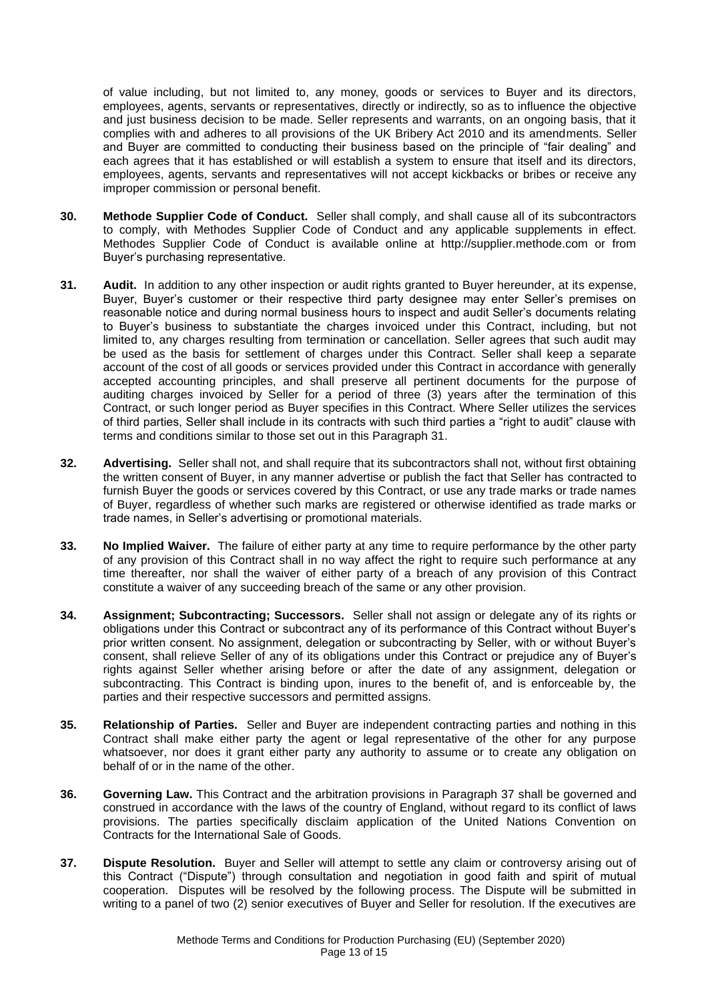of value including, but not limited to, any money, goods or services to Buyer and its directors, employees, agents, servants or representatives, directly or indirectly, so as to influence the objective and just business decision to be made. Seller represents and warrants, on an ongoing basis, that it complies with and adheres to all provisions of the UK Bribery Act 2010 and its amendments. Seller and Buyer are committed to conducting their business based on the principle of "fair dealing" and each agrees that it has established or will establish a system to ensure that itself and its directors, employees, agents, servants and representatives will not accept kickbacks or bribes or receive any improper commission or personal benefit.

- **30. Methode Supplier Code of Conduct.** Seller shall comply, and shall cause all of its subcontractors to comply, with Methodes Supplier Code of Conduct and any applicable supplements in effect. Methodes Supplier Code of Conduct is available online at http://supplier.methode.com or from Buyer's purchasing representative.
- **31. Audit.** In addition to any other inspection or audit rights granted to Buyer hereunder, at its expense, Buyer, Buyer's customer or their respective third party designee may enter Seller's premises on reasonable notice and during normal business hours to inspect and audit Seller's documents relating to Buyer's business to substantiate the charges invoiced under this Contract, including, but not limited to, any charges resulting from termination or cancellation. Seller agrees that such audit may be used as the basis for settlement of charges under this Contract. Seller shall keep a separate account of the cost of all goods or services provided under this Contract in accordance with generally accepted accounting principles, and shall preserve all pertinent documents for the purpose of auditing charges invoiced by Seller for a period of three (3) years after the termination of this Contract, or such longer period as Buyer specifies in this Contract. Where Seller utilizes the services of third parties, Seller shall include in its contracts with such third parties a "right to audit" clause with terms and conditions similar to those set out in this Paragraph 31.
- **32. Advertising.** Seller shall not, and shall require that its subcontractors shall not, without first obtaining the written consent of Buyer, in any manner advertise or publish the fact that Seller has contracted to furnish Buyer the goods or services covered by this Contract, or use any trade marks or trade names of Buyer, regardless of whether such marks are registered or otherwise identified as trade marks or trade names, in Seller's advertising or promotional materials.
- **33. No Implied Waiver.** The failure of either party at any time to require performance by the other party of any provision of this Contract shall in no way affect the right to require such performance at any time thereafter, nor shall the waiver of either party of a breach of any provision of this Contract constitute a waiver of any succeeding breach of the same or any other provision.
- **34. Assignment; Subcontracting; Successors.** Seller shall not assign or delegate any of its rights or obligations under this Contract or subcontract any of its performance of this Contract without Buyer's prior written consent. No assignment, delegation or subcontracting by Seller, with or without Buyer's consent, shall relieve Seller of any of its obligations under this Contract or prejudice any of Buyer's rights against Seller whether arising before or after the date of any assignment, delegation or subcontracting. This Contract is binding upon, inures to the benefit of, and is enforceable by, the parties and their respective successors and permitted assigns.
- **35. Relationship of Parties.** Seller and Buyer are independent contracting parties and nothing in this Contract shall make either party the agent or legal representative of the other for any purpose whatsoever, nor does it grant either party any authority to assume or to create any obligation on behalf of or in the name of the other.
- **36. Governing Law.** This Contract and the arbitration provisions in Paragraph 37 shall be governed and construed in accordance with the laws of the country of England, without regard to its conflict of laws provisions. The parties specifically disclaim application of the United Nations Convention on Contracts for the International Sale of Goods.
- **37. Dispute Resolution.** Buyer and Seller will attempt to settle any claim or controversy arising out of this Contract ("Dispute") through consultation and negotiation in good faith and spirit of mutual cooperation. Disputes will be resolved by the following process. The Dispute will be submitted in writing to a panel of two (2) senior executives of Buyer and Seller for resolution. If the executives are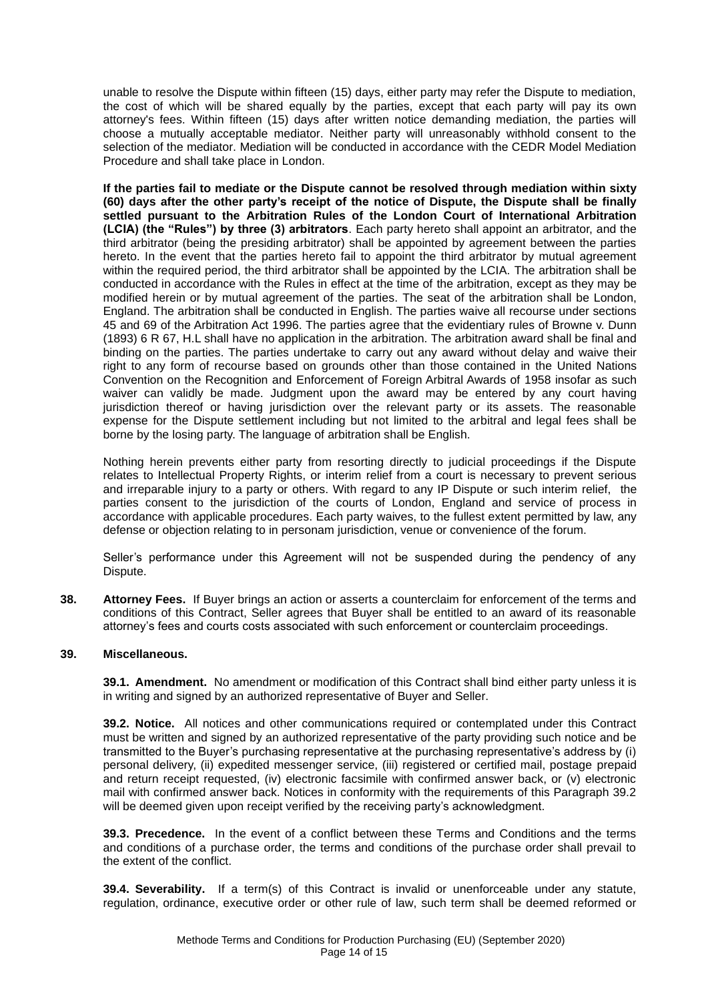unable to resolve the Dispute within fifteen (15) days, either party may refer the Dispute to mediation, the cost of which will be shared equally by the parties, except that each party will pay its own attorney's fees. Within fifteen (15) days after written notice demanding mediation, the parties will choose a mutually acceptable mediator. Neither party will unreasonably withhold consent to the selection of the mediator. Mediation will be conducted in accordance with the CEDR Model Mediation Procedure and shall take place in London.

**If the parties fail to mediate or the Dispute cannot be resolved through mediation within sixty (60) days after the other party's receipt of the notice of Dispute, the Dispute shall be finally settled pursuant to the Arbitration Rules of the London Court of International Arbitration (LCIA) (the "Rules") by three (3) arbitrators**. Each party hereto shall appoint an arbitrator, and the third arbitrator (being the presiding arbitrator) shall be appointed by agreement between the parties hereto. In the event that the parties hereto fail to appoint the third arbitrator by mutual agreement within the required period, the third arbitrator shall be appointed by the LCIA. The arbitration shall be conducted in accordance with the Rules in effect at the time of the arbitration, except as they may be modified herein or by mutual agreement of the parties. The seat of the arbitration shall be London, England. The arbitration shall be conducted in English. The parties waive all recourse under sections 45 and 69 of the Arbitration Act 1996. The parties agree that the evidentiary rules of Browne v. Dunn (1893) 6 R 67, H.L shall have no application in the arbitration. The arbitration award shall be final and binding on the parties. The parties undertake to carry out any award without delay and waive their right to any form of recourse based on grounds other than those contained in the United Nations Convention on the Recognition and Enforcement of Foreign Arbitral Awards of 1958 insofar as such waiver can validly be made. Judgment upon the award may be entered by any court having jurisdiction thereof or having jurisdiction over the relevant party or its assets. The reasonable expense for the Dispute settlement including but not limited to the arbitral and legal fees shall be borne by the losing party. The language of arbitration shall be English.

Nothing herein prevents either party from resorting directly to judicial proceedings if the Dispute relates to Intellectual Property Rights, or interim relief from a court is necessary to prevent serious and irreparable injury to a party or others. With regard to any IP Dispute or such interim relief, the parties consent to the jurisdiction of the courts of London, England and service of process in accordance with applicable procedures. Each party waives, to the fullest extent permitted by law, any defense or objection relating to in personam jurisdiction, venue or convenience of the forum.

Seller's performance under this Agreement will not be suspended during the pendency of any Dispute.

**38. Attorney Fees.** If Buyer brings an action or asserts a counterclaim for enforcement of the terms and conditions of this Contract, Seller agrees that Buyer shall be entitled to an award of its reasonable attorney's fees and courts costs associated with such enforcement or counterclaim proceedings.

### **39. Miscellaneous.**

**39.1. Amendment.** No amendment or modification of this Contract shall bind either party unless it is in writing and signed by an authorized representative of Buyer and Seller.

**39.2. Notice.** All notices and other communications required or contemplated under this Contract must be written and signed by an authorized representative of the party providing such notice and be transmitted to the Buyer's purchasing representative at the purchasing representative's address by (i) personal delivery, (ii) expedited messenger service, (iii) registered or certified mail, postage prepaid and return receipt requested, (iv) electronic facsimile with confirmed answer back, or (v) electronic mail with confirmed answer back. Notices in conformity with the requirements of this Paragraph 39.2 will be deemed given upon receipt verified by the receiving party's acknowledgment.

**39.3. Precedence.** In the event of a conflict between these Terms and Conditions and the terms and conditions of a purchase order, the terms and conditions of the purchase order shall prevail to the extent of the conflict.

**39.4. Severability.** If a term(s) of this Contract is invalid or unenforceable under any statute, regulation, ordinance, executive order or other rule of law, such term shall be deemed reformed or